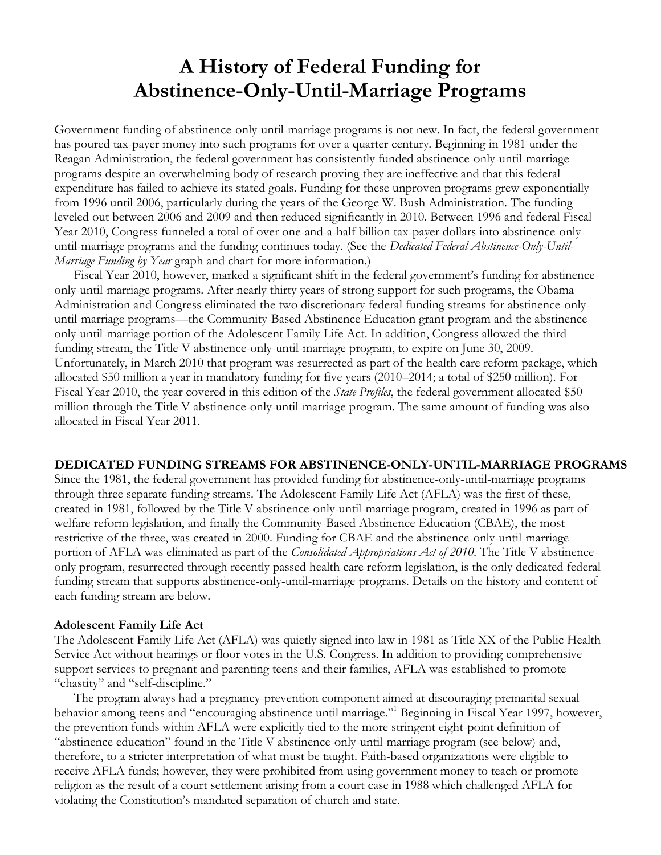# **A History of Federal Funding for Abstinence-Only-Until-Marriage Programs**

Government funding of abstinence-only-until-marriage programs is not new. In fact, the federal government has poured tax-payer money into such programs for over a quarter century. Beginning in 1981 under the Reagan Administration, the federal government has consistently funded abstinence-only-until-marriage programs despite an overwhelming body of research proving they are ineffective and that this federal expenditure has failed to achieve its stated goals. Funding for these unproven programs grew exponentially from 1996 until 2006, particularly during the years of the George W. Bush Administration. The funding leveled out between 2006 and 2009 and then reduced significantly in 2010. Between 1996 and federal Fiscal Year 2010, Congress funneled a total of over one-and-a-half billion tax-payer dollars into abstinence-onlyuntil-marriage programs and the funding continues today. (See the *Dedicated Federal Abstinence-Only-Until-Marriage Funding by Year* graph and chart for more information.)

Fiscal Year 2010, however, marked a significant shift in the federal government's funding for abstinenceonly-until-marriage programs. After nearly thirty years of strong support for such programs, the Obama Administration and Congress eliminated the two discretionary federal funding streams for abstinence-onlyuntil-marriage programs—the Community-Based Abstinence Education grant program and the abstinenceonly-until-marriage portion of the Adolescent Family Life Act. In addition, Congress allowed the third funding stream, the Title V abstinence-only-until-marriage program, to expire on June 30, 2009. Unfortunately, in March 2010 that program was resurrected as part of the health care reform package, which allocated \$50 million a year in mandatory funding for five years (2010–2014; a total of \$250 million). For Fiscal Year 2010, the year covered in this edition of the *State Profiles*, the federal government allocated \$50 million through the Title V abstinence-only-until-marriage program. The same amount of funding was also allocated in Fiscal Year 2011.

### **DEDICATED FUNDING STREAMS FOR ABSTINENCE-ONLY-UNTIL-MARRIAGE PROGRAMS**

Since the 1981, the federal government has provided funding for abstinence-only-until-marriage programs through three separate funding streams. The Adolescent Family Life Act (AFLA) was the first of these, created in 1981, followed by the Title V abstinence-only-until-marriage program, created in 1996 as part of welfare reform legislation, and finally the Community-Based Abstinence Education (CBAE), the most restrictive of the three, was created in 2000. Funding for CBAE and the abstinence-only-until-marriage portion of AFLA was eliminated as part of the *Consolidated Appropriations Act of 2010*. The Title V abstinenceonly program, resurrected through recently passed health care reform legislation, is the only dedicated federal funding stream that supports abstinence-only-until-marriage programs. Details on the history and content of each funding stream are below.

### **Adolescent Family Life Act**

The Adolescent Family Life Act (AFLA) was quietly signed into law in 1981 as Title XX of the Public Health Service Act without hearings or floor votes in the U.S. Congress. In addition to providing comprehensive support services to pregnant and parenting teens and their families, AFLA was established to promote "chastity" and "self-discipline."

The program always had a pregnancy-prevention component aimed at discouraging premarital sexual behavior among teens and "encouraging abstinence until marriage."<sup>1</sup> Beginning in Fiscal Year 1997, however, the prevention funds within AFLA were explicitly tied to the more stringent eight-point definition of "abstinence education" found in the Title V abstinence-only-until-marriage program (see below) and, therefore, to a stricter interpretation of what must be taught. Faith-based organizations were eligible to receive AFLA funds; however, they were prohibited from using government money to teach or promote religion as the result of a court settlement arising from a court case in 1988 which challenged AFLA for violating the Constitution's mandated separation of church and state.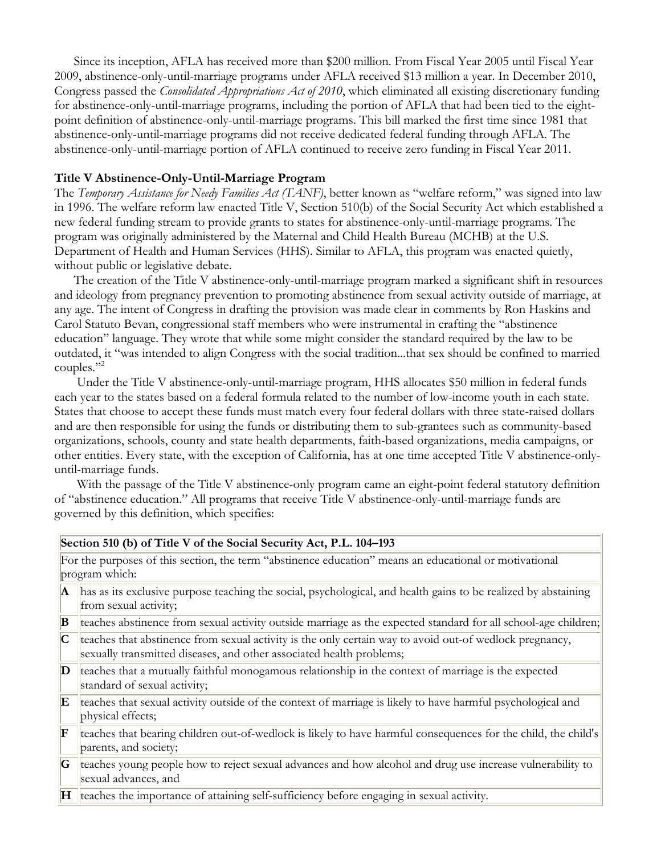Since its inception, AFLA has received more than \$200 million. From Fiscal Year 2005 until Fiscal Year 2009, abstinence-only-until-marriage programs under AFLA received \$13 million a year. In December 2010, Congress passed the *Consolidated Appropriations Act of 2010*, which eliminated all existing discretionary funding for abstinence-only-until-marriage programs, including the portion of AFLA that had been tied to the eightpoint definition of abstinence-only-until-marriage programs. This bill marked the first time since 1981 that abstinence-only-until-marriage programs did not receive dedicated federal funding through AFLA. The abstinence-only-until-marriage portion of AFLA continued to receive zero funding in Fiscal Year 2011.

# **Title V Abstinence-Only-Until-Marriage Program**

The *Temporary Assistance for Needy Families Act (TANF)*, better known as "welfare reform," was signed into law in 1996. The welfare reform law enacted Title V, Section 510(b) of the Social Security Act which established a new federal funding stream to provide grants to states for abstinence-only-until-marriage programs. The program was originally administered by the Maternal and Child Health Bureau (MCHB) at the U.S. Department of Health and Human Services (HHS). Similar to AFLA, this program was enacted quietly, without public or legislative debate.

The creation of the Title V abstinence-only-until-marriage program marked a significant shift in resources and ideology from pregnancy prevention to promoting abstinence from sexual activity outside of marriage, at any age. The intent of Congress in drafting the provision was made clear in comments by Ron Haskins and Carol Statuto Bevan, congressional staff members who were instrumental in crafting the "abstinence education" language. They wrote that while some might consider the standard required by the law to be outdated, it "was intended to align Congress with the social tradition...that sex should be confined to married couples."<sup>2</sup>

 Under the Title V abstinence-only-until-marriage program, HHS allocates \$50 million in federal funds each year to the states based on a federal formula related to the number of low-income youth in each state. States that choose to accept these funds must match every four federal dollars with three state-raised dollars and are then responsible for using the funds or distributing them to sub-grantees such as community-based organizations, schools, county and state health departments, faith-based organizations, media campaigns, or other entities. Every state, with the exception of California, has at one time accepted Title V abstinence-onlyuntil-marriage funds.

With the passage of the Title V abstinence-only program came an eight-point federal statutory definition of "abstinence education." All programs that receive Title V abstinence-only-until-marriage funds are governed by this definition, which specifies:

|  | Section 510 (b) of Title V of the Social Security Act, P.L. 104-193 |
|--|---------------------------------------------------------------------|
|--|---------------------------------------------------------------------|

For the purposes of this section, the term "abstinence education" means an educational or motivational program which:

| $\mathbf{A}$    | has as its exclusive purpose teaching the social, psychological, and health gains to be realized by abstaining                                                                  |
|-----------------|---------------------------------------------------------------------------------------------------------------------------------------------------------------------------------|
|                 | from sexual activity;                                                                                                                                                           |
| B               | teaches abstinence from sexual activity outside marriage as the expected standard for all school-age children;                                                                  |
|                 | teaches that abstinence from sexual activity is the only certain way to avoid out-of wedlock pregnancy,<br>sexually transmitted diseases, and other associated health problems; |
| D               | teaches that a mutually faithful monogamous relationship in the context of marriage is the expected<br>standard of sexual activity;                                             |
| E               | teaches that sexual activity outside of the context of marriage is likely to have harmful psychological and<br>physical effects;                                                |
| F               | teaches that bearing children out-of-wedlock is likely to have harmful consequences for the child, the child's<br>parents, and society;                                         |
| G               | teaches young people how to reject sexual advances and how alcohol and drug use increase vulnerability to<br>sexual advances, and                                               |
| $H_{\parallel}$ | teaches the importance of attaining self-sufficiency before engaging in sexual activity.                                                                                        |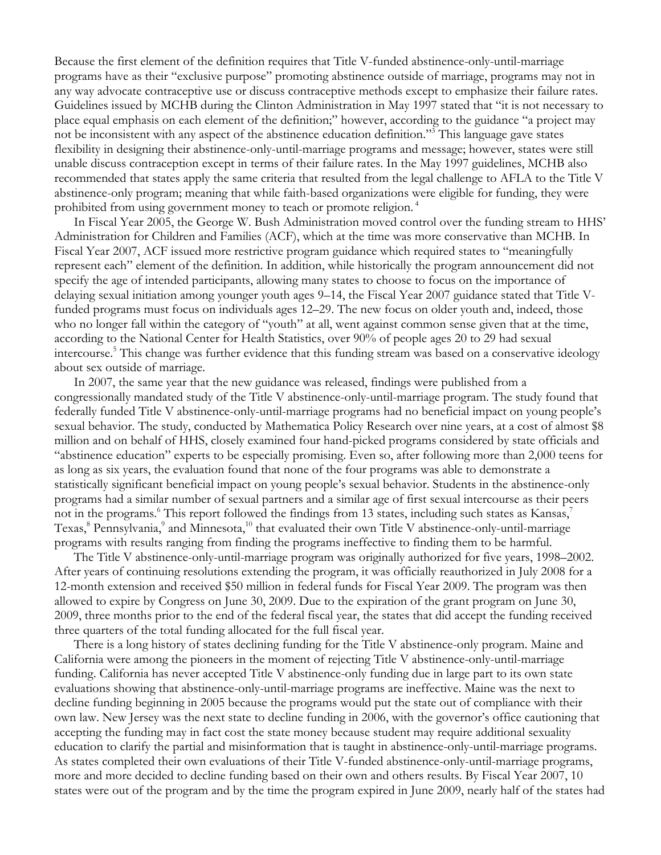Because the first element of the definition requires that Title V-funded abstinence-only-until-marriage programs have as their "exclusive purpose" promoting abstinence outside of marriage, programs may not in any way advocate contraceptive use or discuss contraceptive methods except to emphasize their failure rates. Guidelines issued by MCHB during the Clinton Administration in May 1997 stated that "it is not necessary to place equal emphasis on each element of the definition;" however, according to the guidance "a project may not be inconsistent with any aspect of the abstinence education definition."3 This language gave states flexibility in designing their abstinence-only-until-marriage programs and message; however, states were still unable discuss contraception except in terms of their failure rates. In the May 1997 guidelines, MCHB also recommended that states apply the same criteria that resulted from the legal challenge to AFLA to the Title V abstinence-only program; meaning that while faith-based organizations were eligible for funding, they were prohibited from using government money to teach or promote religion.<sup>4</sup>

In Fiscal Year 2005, the George W. Bush Administration moved control over the funding stream to HHS' Administration for Children and Families (ACF), which at the time was more conservative than MCHB. In Fiscal Year 2007, ACF issued more restrictive program guidance which required states to "meaningfully represent each" element of the definition. In addition, while historically the program announcement did not specify the age of intended participants, allowing many states to choose to focus on the importance of delaying sexual initiation among younger youth ages 9–14, the Fiscal Year 2007 guidance stated that Title Vfunded programs must focus on individuals ages 12–29. The new focus on older youth and, indeed, those who no longer fall within the category of "youth" at all, went against common sense given that at the time, according to the National Center for Health Statistics, over 90% of people ages 20 to 29 had sexual intercourse.<sup>5</sup> This change was further evidence that this funding stream was based on a conservative ideology about sex outside of marriage.

In 2007, the same year that the new guidance was released, findings were published from a congressionally mandated study of the Title V abstinence-only-until-marriage program. The study found that federally funded Title V abstinence-only-until-marriage programs had no beneficial impact on young people's sexual behavior. The study, conducted by Mathematica Policy Research over nine years, at a cost of almost \$8 million and on behalf of HHS, closely examined four hand-picked programs considered by state officials and "abstinence education" experts to be especially promising. Even so, after following more than 2,000 teens for as long as six years, the evaluation found that none of the four programs was able to demonstrate a statistically significant beneficial impact on young people's sexual behavior. Students in the abstinence-only programs had a similar number of sexual partners and a similar age of first sexual intercourse as their peers not in the programs.<sup>6</sup> This report followed the findings from 13 states, including such states as Kansas,<sup>7</sup> Texas,<sup>8</sup> Pennsylvania,<sup>9</sup> and Minnesota,<sup>10</sup> that evaluated their own Title V abstinence-only-until-marriage programs with results ranging from finding the programs ineffective to finding them to be harmful.

The Title V abstinence-only-until-marriage program was originally authorized for five years, 1998–2002. After years of continuing resolutions extending the program, it was officially reauthorized in July 2008 for a 12-month extension and received \$50 million in federal funds for Fiscal Year 2009. The program was then allowed to expire by Congress on June 30, 2009. Due to the expiration of the grant program on June 30, 2009, three months prior to the end of the federal fiscal year, the states that did accept the funding received three quarters of the total funding allocated for the full fiscal year.

There is a long history of states declining funding for the Title V abstinence-only program. Maine and California were among the pioneers in the moment of rejecting Title V abstinence-only-until-marriage funding. California has never accepted Title V abstinence-only funding due in large part to its own state evaluations showing that abstinence-only-until-marriage programs are ineffective. Maine was the next to decline funding beginning in 2005 because the programs would put the state out of compliance with their own law. New Jersey was the next state to decline funding in 2006, with the governor's office cautioning that accepting the funding may in fact cost the state money because student may require additional sexuality education to clarify the partial and misinformation that is taught in abstinence-only-until-marriage programs. As states completed their own evaluations of their Title V-funded abstinence-only-until-marriage programs, more and more decided to decline funding based on their own and others results. By Fiscal Year 2007, 10 states were out of the program and by the time the program expired in June 2009, nearly half of the states had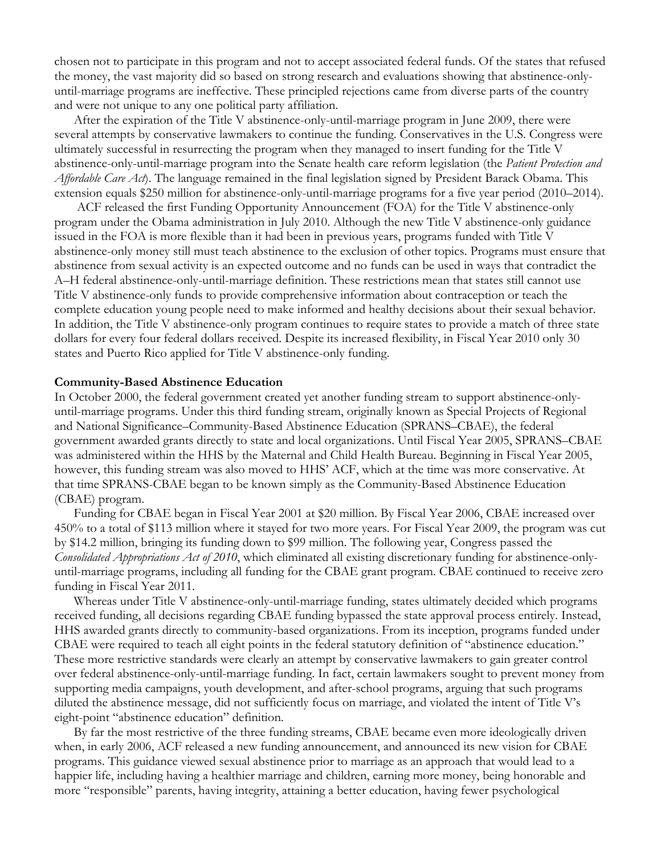chosen not to participate in this program and not to accept associated federal funds. Of the states that refused the money, the vast majority did so based on strong research and evaluations showing that abstinence-onlyuntil-marriage programs are ineffective. These principled rejections came from diverse parts of the country and were not unique to any one political party affiliation.

After the expiration of the Title V abstinence-only-until-marriage program in June 2009, there were several attempts by conservative lawmakers to continue the funding. Conservatives in the U.S. Congress were ultimately successful in resurrecting the program when they managed to insert funding for the Title V abstinence-only-until-marriage program into the Senate health care reform legislation (the *Patient Protection and Affordable Care Act*). The language remained in the final legislation signed by President Barack Obama. This extension equals \$250 million for abstinence-only-until-marriage programs for a five year period (2010–2014).

 ACF released the first Funding Opportunity Announcement (FOA) for the Title V abstinence-only program under the Obama administration in July 2010. Although the new Title V abstinence-only guidance issued in the FOA is more flexible than it had been in previous years, programs funded with Title V abstinence-only money still must teach abstinence to the exclusion of other topics. Programs must ensure that abstinence from sexual activity is an expected outcome and no funds can be used in ways that contradict the A–H federal abstinence-only-until-marriage definition. These restrictions mean that states still cannot use Title V abstinence-only funds to provide comprehensive information about contraception or teach the complete education young people need to make informed and healthy decisions about their sexual behavior. In addition, the Title V abstinence-only program continues to require states to provide a match of three state dollars for every four federal dollars received. Despite its increased flexibility, in Fiscal Year 2010 only 30 states and Puerto Rico applied for Title V abstinence-only funding.

#### **Community-Based Abstinence Education**

In October 2000, the federal government created yet another funding stream to support abstinence-onlyuntil-marriage programs. Under this third funding stream, originally known as Special Projects of Regional and National Significance–Community-Based Abstinence Education (SPRANS–CBAE), the federal government awarded grants directly to state and local organizations. Until Fiscal Year 2005, SPRANS–CBAE was administered within the HHS by the Maternal and Child Health Bureau. Beginning in Fiscal Year 2005, however, this funding stream was also moved to HHS' ACF, which at the time was more conservative. At that time SPRANS-CBAE began to be known simply as the Community-Based Abstinence Education (CBAE) program.

Funding for CBAE began in Fiscal Year 2001 at \$20 million. By Fiscal Year 2006, CBAE increased over 450% to a total of \$113 million where it stayed for two more years. For Fiscal Year 2009, the program was cut by \$14.2 million, bringing its funding down to \$99 million. The following year, Congress passed the *Consolidated Appropriations Act of 2010*, which eliminated all existing discretionary funding for abstinence-onlyuntil-marriage programs, including all funding for the CBAE grant program. CBAE continued to receive zero funding in Fiscal Year 2011.

Whereas under Title V abstinence-only-until-marriage funding, states ultimately decided which programs received funding, all decisions regarding CBAE funding bypassed the state approval process entirely. Instead, HHS awarded grants directly to community-based organizations. From its inception, programs funded under CBAE were required to teach all eight points in the federal statutory definition of "abstinence education." These more restrictive standards were clearly an attempt by conservative lawmakers to gain greater control over federal abstinence-only-until-marriage funding. In fact, certain lawmakers sought to prevent money from supporting media campaigns, youth development, and after-school programs, arguing that such programs diluted the abstinence message, did not sufficiently focus on marriage, and violated the intent of Title V's eight-point "abstinence education" definition.

By far the most restrictive of the three funding streams, CBAE became even more ideologically driven when, in early 2006, ACF released a new funding announcement, and announced its new vision for CBAE programs. This guidance viewed sexual abstinence prior to marriage as an approach that would lead to a happier life, including having a healthier marriage and children, earning more money, being honorable and more "responsible" parents, having integrity, attaining a better education, having fewer psychological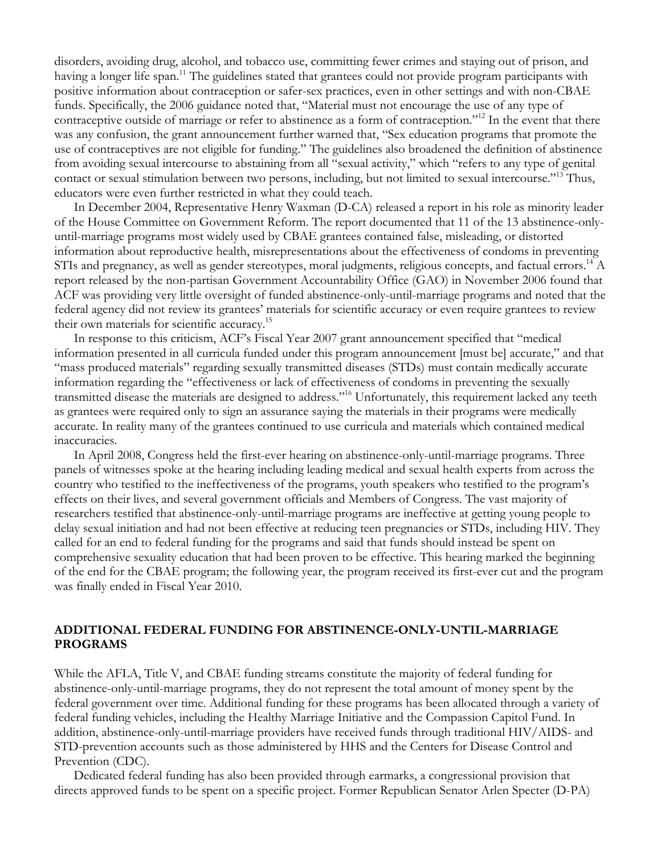disorders, avoiding drug, alcohol, and tobacco use, committing fewer crimes and staying out of prison, and having a longer life span.<sup>11</sup> The guidelines stated that grantees could not provide program participants with positive information about contraception or safer-sex practices, even in other settings and with non-CBAE funds. Specifically, the 2006 guidance noted that, "Material must not encourage the use of any type of contraceptive outside of marriage or refer to abstinence as a form of contraception."<sup>12</sup> In the event that there was any confusion, the grant announcement further warned that, "Sex education programs that promote the use of contraceptives are not eligible for funding." The guidelines also broadened the definition of abstinence from avoiding sexual intercourse to abstaining from all "sexual activity," which "refers to any type of genital contact or sexual stimulation between two persons, including, but not limited to sexual intercourse."<sup>13</sup> Thus, educators were even further restricted in what they could teach.

In December 2004, Representative Henry Waxman (D-CA) released a report in his role as minority leader of the House Committee on Government Reform. The report documented that 11 of the 13 abstinence-onlyuntil-marriage programs most widely used by CBAE grantees contained false, misleading, or distorted information about reproductive health, misrepresentations about the effectiveness of condoms in preventing STIs and pregnancy, as well as gender stereotypes, moral judgments, religious concepts, and factual errors.<sup>14</sup> A report released by the non-partisan Government Accountability Office (GAO) in November 2006 found that ACF was providing very little oversight of funded abstinence-only-until-marriage programs and noted that the federal agency did not review its grantees' materials for scientific accuracy or even require grantees to review their own materials for scientific accuracy.15

In response to this criticism, ACF's Fiscal Year 2007 grant announcement specified that "medical information presented in all curricula funded under this program announcement [must be] accurate," and that "mass produced materials" regarding sexually transmitted diseases (STDs) must contain medically accurate information regarding the "effectiveness or lack of effectiveness of condoms in preventing the sexually transmitted disease the materials are designed to address."16 Unfortunately, this requirement lacked any teeth as grantees were required only to sign an assurance saying the materials in their programs were medically accurate. In reality many of the grantees continued to use curricula and materials which contained medical inaccuracies.

In April 2008, Congress held the first-ever hearing on abstinence-only-until-marriage programs. Three panels of witnesses spoke at the hearing including leading medical and sexual health experts from across the country who testified to the ineffectiveness of the programs, youth speakers who testified to the program's effects on their lives, and several government officials and Members of Congress. The vast majority of researchers testified that abstinence-only-until-marriage programs are ineffective at getting young people to delay sexual initiation and had not been effective at reducing teen pregnancies or STDs, including HIV. They called for an end to federal funding for the programs and said that funds should instead be spent on comprehensive sexuality education that had been proven to be effective. This hearing marked the beginning of the end for the CBAE program; the following year, the program received its first-ever cut and the program was finally ended in Fiscal Year 2010.

# **ADDITIONAL FEDERAL FUNDING FOR ABSTINENCE-ONLY-UNTIL-MARRIAGE PROGRAMS**

While the AFLA, Title V, and CBAE funding streams constitute the majority of federal funding for abstinence-only-until-marriage programs, they do not represent the total amount of money spent by the federal government over time. Additional funding for these programs has been allocated through a variety of federal funding vehicles, including the Healthy Marriage Initiative and the Compassion Capitol Fund. In addition, abstinence-only-until-marriage providers have received funds through traditional HIV/AIDS- and STD-prevention accounts such as those administered by HHS and the Centers for Disease Control and Prevention (CDC).

Dedicated federal funding has also been provided through earmarks, a congressional provision that directs approved funds to be spent on a specific project. Former Republican Senator Arlen Specter (D-PA)